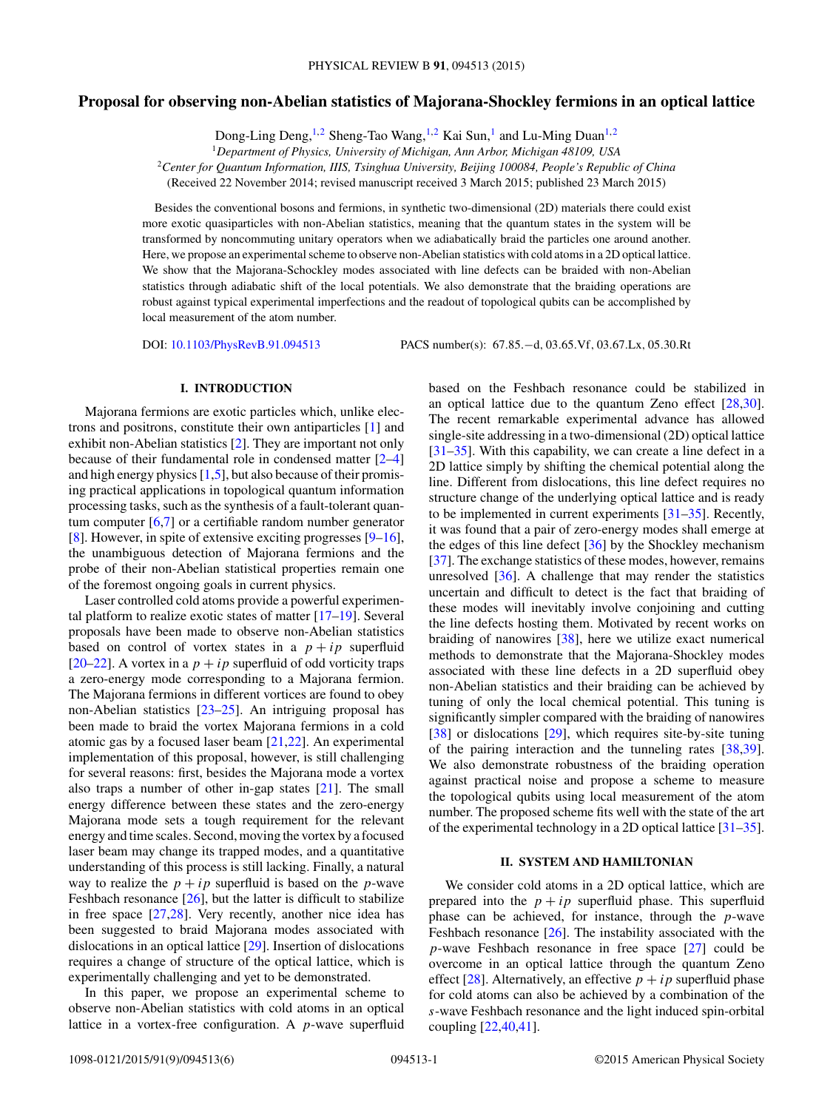# **Proposal for observing non-Abelian statistics of Majorana-Shockley fermions in an optical lattice**

Dong-Ling Deng,<sup>1,2</sup> Sheng-Tao Wang,<sup>1,2</sup> Kai Sun,<sup>1</sup> and Lu-Ming Duan<sup>1,2</sup>

<sup>2</sup>*Center for Quantum Information, IIIS, Tsinghua University, Beijing 100084, People's Republic of China*

(Received 22 November 2014; revised manuscript received 3 March 2015; published 23 March 2015)

Besides the conventional bosons and fermions, in synthetic two-dimensional (2D) materials there could exist more exotic quasiparticles with non-Abelian statistics, meaning that the quantum states in the system will be transformed by noncommuting unitary operators when we adiabatically braid the particles one around another. Here, we propose an experimental scheme to observe non-Abelian statistics with cold atoms in a 2D optical lattice. We show that the Majorana-Schockley modes associated with line defects can be braided with non-Abelian statistics through adiabatic shift of the local potentials. We also demonstrate that the braiding operations are robust against typical experimental imperfections and the readout of topological qubits can be accomplished by local measurement of the atom number.

DOI: [10.1103/PhysRevB.91.094513](http://dx.doi.org/10.1103/PhysRevB.91.094513) PACS number(s): 67*.*85*.*−d*,* 03*.*65*.*Vf*,* 03*.*67*.*Lx*,* 05*.*30*.*Rt

#### **I. INTRODUCTION**

Majorana fermions are exotic particles which, unlike electrons and positrons, constitute their own antiparticles [\[1\]](#page-4-0) and exhibit non-Abelian statistics [\[2\]](#page-4-0). They are important not only because of their fundamental role in condensed matter [\[2–4\]](#page-4-0) and high energy physics [\[1,5\]](#page-4-0), but also because of their promising practical applications in topological quantum information processing tasks, such as the synthesis of a fault-tolerant quantum computer  $[6,7]$  or a certifiable random number generator [\[8\]](#page-4-0). However, in spite of extensive exciting progresses [\[9–16\]](#page-4-0), the unambiguous detection of Majorana fermions and the probe of their non-Abelian statistical properties remain one of the foremost ongoing goals in current physics.

Laser controlled cold atoms provide a powerful experimental platform to realize exotic states of matter [\[17–19\]](#page-4-0). Several proposals have been made to observe non-Abelian statistics based on control of vortex states in a  $p + ip$  superfluid [\[20–22\]](#page-4-0). A vortex in a  $p + ip$  superfluid of odd vorticity traps a zero-energy mode corresponding to a Majorana fermion. The Majorana fermions in different vortices are found to obey non-Abelian statistics [\[23–25\]](#page-4-0). An intriguing proposal has been made to braid the vortex Majorana fermions in a cold atomic gas by a focused laser beam [\[21,22\]](#page-4-0). An experimental implementation of this proposal, however, is still challenging for several reasons: first, besides the Majorana mode a vortex also traps a number of other in-gap states [\[21\]](#page-4-0). The small energy difference between these states and the zero-energy Majorana mode sets a tough requirement for the relevant energy and time scales. Second, moving the vortex by a focused laser beam may change its trapped modes, and a quantitative understanding of this process is still lacking. Finally, a natural way to realize the  $p + ip$  superfluid is based on the *p*-wave Feshbach resonance [\[26\]](#page-4-0), but the latter is difficult to stabilize in free space [\[27,28\]](#page-4-0). Very recently, another nice idea has been suggested to braid Majorana modes associated with dislocations in an optical lattice [\[29\]](#page-4-0). Insertion of dislocations requires a change of structure of the optical lattice, which is experimentally challenging and yet to be demonstrated.

In this paper, we propose an experimental scheme to observe non-Abelian statistics with cold atoms in an optical lattice in a vortex-free configuration. A *p*-wave superfluid based on the Feshbach resonance could be stabilized in an optical lattice due to the quantum Zeno effect [\[28,30\]](#page-4-0). The recent remarkable experimental advance has allowed single-site addressing in a two-dimensional (2D) optical lattice [\[31–35\]](#page-4-0). With this capability, we can create a line defect in a 2D lattice simply by shifting the chemical potential along the line. Different from dislocations, this line defect requires no structure change of the underlying optical lattice and is ready to be implemented in current experiments [\[31–35\]](#page-4-0). Recently, it was found that a pair of zero-energy modes shall emerge at the edges of this line defect [\[36\]](#page-5-0) by the Shockley mechanism [\[37\]](#page-5-0). The exchange statistics of these modes, however, remains unresolved [\[36\]](#page-5-0). A challenge that may render the statistics uncertain and difficult to detect is the fact that braiding of these modes will inevitably involve conjoining and cutting the line defects hosting them. Motivated by recent works on braiding of nanowires [\[38\]](#page-5-0), here we utilize exact numerical methods to demonstrate that the Majorana-Shockley modes associated with these line defects in a 2D superfluid obey non-Abelian statistics and their braiding can be achieved by tuning of only the local chemical potential. This tuning is significantly simpler compared with the braiding of nanowires [\[38\]](#page-5-0) or dislocations [\[29\]](#page-4-0), which requires site-by-site tuning of the pairing interaction and the tunneling rates [\[38,39\]](#page-5-0). We also demonstrate robustness of the braiding operation against practical noise and propose a scheme to measure the topological qubits using local measurement of the atom number. The proposed scheme fits well with the state of the art of the experimental technology in a 2D optical lattice [\[31–35\]](#page-4-0).

## **II. SYSTEM AND HAMILTONIAN**

We consider cold atoms in a 2D optical lattice, which are prepared into the  $p + ip$  superfluid phase. This superfluid phase can be achieved, for instance, through the *p*-wave Feshbach resonance [\[26\]](#page-4-0). The instability associated with the *p*-wave Feshbach resonance in free space [\[27\]](#page-4-0) could be overcome in an optical lattice through the quantum Zeno effect [\[28\]](#page-4-0). Alternatively, an effective  $p + ip$  superfluid phase for cold atoms can also be achieved by a combination of the *s*-wave Feshbach resonance and the light induced spin-orbital coupling [\[22,](#page-4-0)[40,41\]](#page-5-0).

<sup>1</sup>*Department of Physics, University of Michigan, Ann Arbor, Michigan 48109, USA*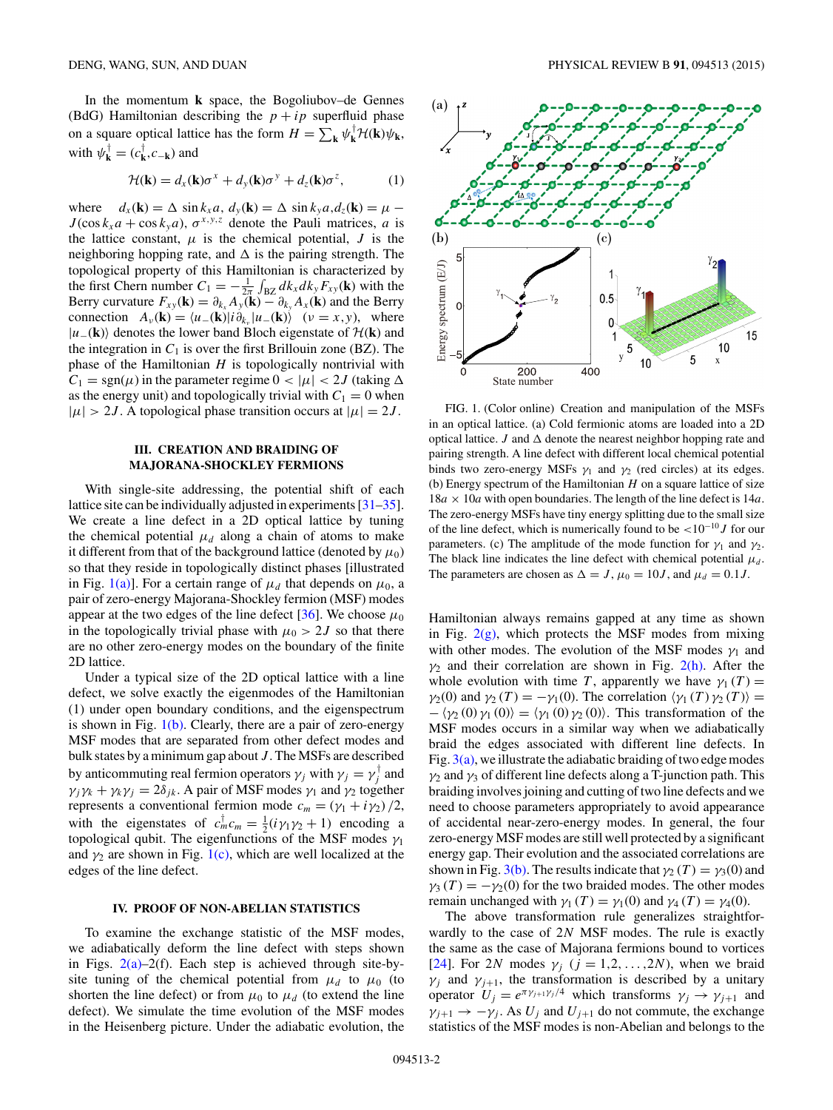<span id="page-1-0"></span>In the momentum **k** space, the Bogoliubov–de Gennes (BdG) Hamiltonian describing the  $p + ip$  superfluid phase on a square optical lattice has the form  $H = \sum_{\mathbf{k}} \psi_{\mathbf{k}}^{\dagger} \mathcal{H}(\mathbf{k}) \psi_{\mathbf{k}}$ , with  $\psi_{\mathbf{k}}^{\dagger} = (c_{\mathbf{k}}^{\dagger}, c_{-\mathbf{k}})$  and

$$
\mathcal{H}(\mathbf{k}) = d_x(\mathbf{k})\sigma^x + d_y(\mathbf{k})\sigma^y + d_z(\mathbf{k})\sigma^z, \tag{1}
$$

where  $d_x(\mathbf{k}) = \Delta \sin k_x a$ ,  $d_y(\mathbf{k}) = \Delta \sin k_y a$ ,  $d_z(\mathbf{k}) = \mu - \Delta \sin k_y a$  $J(\cos k_x a + \cos k_y a)$ ,  $\sigma^{x,y,z}$  denote the Pauli matrices, *a* is the lattice constant,  $\mu$  is the chemical potential,  $J$  is the neighboring hopping rate, and  $\Delta$  is the pairing strength. The topological property of this Hamiltonian is characterized by the first Chern number  $C_1 = -\frac{1}{2\pi} \int_{BZ} dk_x dk_y F_{xy}(\mathbf{k})$  with the Berry curvature  $F_{xy}(\mathbf{k}) = \partial_{k_x} A_y(\mathbf{k}) - \partial_{k_y} A_x(\mathbf{k})$  and the Berry connection  $A_v(\mathbf{k}) = \langle u_-(\mathbf{k})|i\partial_{k_v}|u_-(\mathbf{k})\rangle$  ( $v = x, y$ ), where  $|u_-(**k**)\rangle$  denotes the lower band Bloch eigenstate of  $H(**k**)$  and the integration in  $C_1$  is over the first Brillouin zone (BZ). The phase of the Hamiltonian *H* is topologically nontrivial with  $C_1 = \text{sgn}(\mu)$  in the parameter regime  $0 < |\mu| < 2J$  (taking  $\Delta$ as the energy unit) and topologically trivial with  $C_1 = 0$  when  $|\mu| > 2J$ . A topological phase transition occurs at  $|\mu| = 2J$ .

## **III. CREATION AND BRAIDING OF MAJORANA-SHOCKLEY FERMIONS**

With single-site addressing, the potential shift of each lattice site can be individually adjusted in experiments [\[31–35\]](#page-4-0). We create a line defect in a 2D optical lattice by tuning the chemical potential  $\mu_d$  along a chain of atoms to make it different from that of the background lattice (denoted by  $\mu_0$ ) so that they reside in topologically distinct phases [illustrated in Fig. 1(a)]. For a certain range of  $\mu_d$  that depends on  $\mu_0$ , a pair of zero-energy Majorana-Shockley fermion (MSF) modes appear at the two edges of the line defect  $[36]$ . We choose  $\mu_0$ in the topologically trivial phase with  $\mu_0 > 2J$  so that there are no other zero-energy modes on the boundary of the finite 2D lattice.

Under a typical size of the 2D optical lattice with a line defect, we solve exactly the eigenmodes of the Hamiltonian (1) under open boundary conditions, and the eigenspectrum is shown in Fig.  $1(b)$ . Clearly, there are a pair of zero-energy MSF modes that are separated from other defect modes and bulk states by a minimum gap about *J* . The MSFs are described by anticommuting real fermion operators  $\gamma_j$  with  $\gamma_j = \gamma_j^\dagger$  and  $\gamma_j \gamma_k + \gamma_k \gamma_j = 2\delta_{jk}$ . A pair of MSF modes  $\gamma_1$  and  $\gamma_2$  together represents a conventional fermion mode  $c_m = (\gamma_1 + i \gamma_2)/2$ , with the eigenstates of  $c_m^{\dagger} c_m = \frac{1}{2} (i \gamma_1 \gamma_2 + 1)$  encoding a topological qubit. The eigenfunctions of the MSF modes *γ*<sup>1</sup> and  $\gamma_2$  are shown in Fig. 1(c), which are well localized at the edges of the line defect.

## **IV. PROOF OF NON-ABELIAN STATISTICS**

To examine the exchange statistic of the MSF modes, we adiabatically deform the line defect with steps shown in Figs.  $2(a)-2(f)$ . Each step is achieved through site-bysite tuning of the chemical potential from  $\mu_d$  to  $\mu_0$  (to shorten the line defect) or from  $\mu_0$  to  $\mu_d$  (to extend the line defect). We simulate the time evolution of the MSF modes in the Heisenberg picture. Under the adiabatic evolution, the



FIG. 1. (Color online) Creation and manipulation of the MSFs in an optical lattice. (a) Cold fermionic atoms are loaded into a 2D optical lattice. *J* and  $\Delta$  denote the nearest neighbor hopping rate and pairing strength. A line defect with different local chemical potential binds two zero-energy MSFs  $\gamma_1$  and  $\gamma_2$  (red circles) at its edges. (b) Energy spectrum of the Hamiltonian *H* on a square lattice of size  $18a \times 10a$  with open boundaries. The length of the line defect is  $14a$ . The zero-energy MSFs have tiny energy splitting due to the small size of the line defect, which is numerically found to be *<*10−<sup>10</sup>*J* for our parameters. (c) The amplitude of the mode function for  $\gamma_1$  and  $\gamma_2$ . The black line indicates the line defect with chemical potential  $\mu_d$ . The parameters are chosen as  $\Delta = J$ ,  $\mu_0 = 10J$ , and  $\mu_d = 0.1J$ .

Hamiltonian always remains gapped at any time as shown in Fig.  $2(g)$ , which protects the MSF modes from mixing with other modes. The evolution of the MSF modes  $\gamma_1$  and  $\gamma_2$  and their correlation are shown in Fig. [2\(h\).](#page-2-0) After the whole evolution with time *T*, apparently we have  $\gamma_1(T) =$  $\gamma_2(0)$  and  $\gamma_2(T) = -\gamma_1(0)$ . The correlation  $\langle \gamma_1(T) \gamma_2(T) \rangle =$  $-\langle \gamma_2(0) \gamma_1(0) \rangle = \langle \gamma_1(0) \gamma_2(0) \rangle$ . This transformation of the MSF modes occurs in a similar way when we adiabatically braid the edges associated with different line defects. In Fig.  $3(a)$ , we illustrate the adiabatic braiding of two edge modes *γ*<sup>2</sup> and *γ*<sup>3</sup> of different line defects along a T-junction path. This braiding involves joining and cutting of two line defects and we need to choose parameters appropriately to avoid appearance of accidental near-zero-energy modes. In general, the four zero-energy MSF modes are still well protected by a significant energy gap. Their evolution and the associated correlations are shown in Fig. [3\(b\).](#page-2-0) The results indicate that  $\gamma_2(T) = \gamma_3(0)$  and  $\gamma_3(T) = -\gamma_2(0)$  for the two braided modes. The other modes remain unchanged with  $\gamma_1(T) = \gamma_1(0)$  and  $\gamma_4(T) = \gamma_4(0)$ .

The above transformation rule generalizes straightforwardly to the case of 2*N* MSF modes. The rule is exactly the same as the case of Majorana fermions bound to vortices [\[24\]](#page-4-0). For 2*N* modes  $\gamma_i$  ( $j = 1, 2, ..., 2N$ ), when we braid  $\gamma_i$  and  $\gamma_{i+1}$ , the transformation is described by a unitary operator  $U_j = e^{\pi \gamma_{j+1} \gamma_j/4}$  which transforms  $\gamma_j \to \gamma_{j+1}$  and  $\gamma_{i+1} \rightarrow -\gamma_i$ . As  $U_i$  and  $U_{i+1}$  do not commute, the exchange statistics of the MSF modes is non-Abelian and belongs to the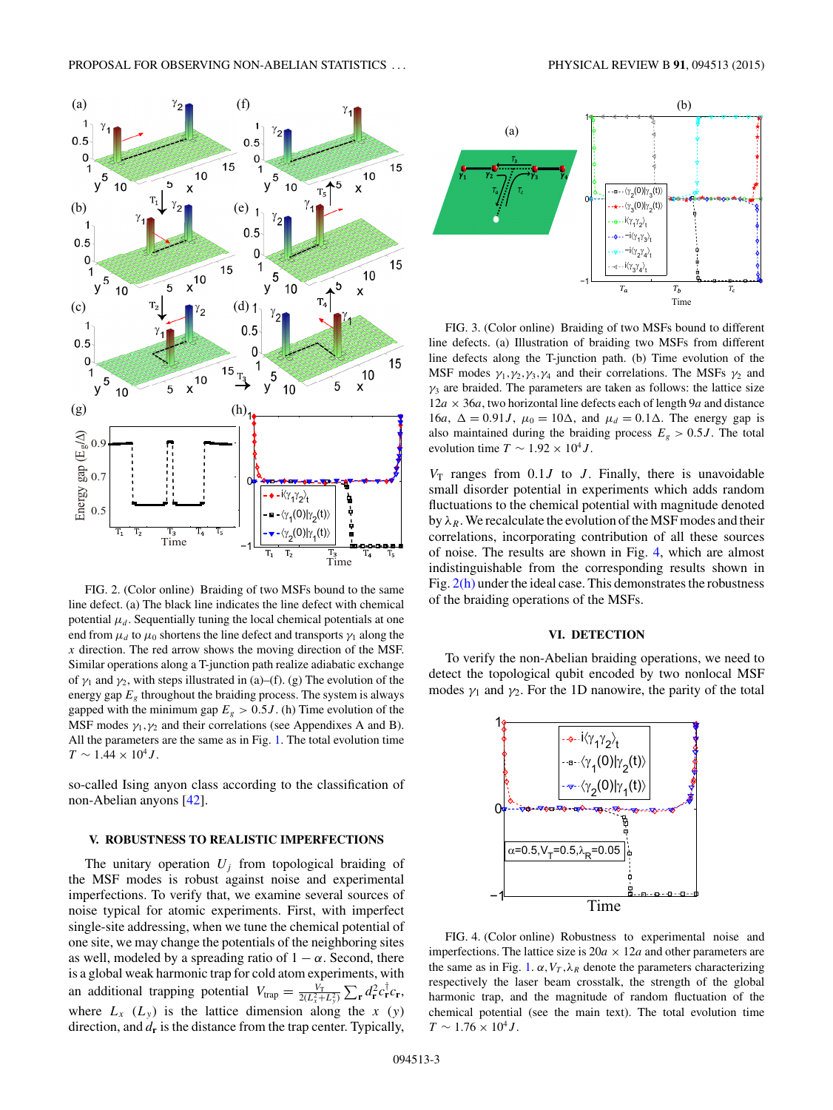<span id="page-2-0"></span>

FIG. 2. (Color online) Braiding of two MSFs bound to the same line defect. (a) The black line indicates the line defect with chemical potential  $\mu_d$ . Sequentially tuning the local chemical potentials at one end from  $\mu_d$  to  $\mu_0$  shortens the line defect and transports  $\gamma_1$  along the *x* direction. The red arrow shows the moving direction of the MSF. Similar operations along a T-junction path realize adiabatic exchange of  $\gamma_1$  and  $\gamma_2$ , with steps illustrated in (a)–(f). (g) The evolution of the energy gap  $E<sub>g</sub>$  throughout the braiding process. The system is always gapped with the minimum gap  $E<sub>g</sub> > 0.5J$ . (h) Time evolution of the MSF modes  $\gamma_1, \gamma_2$  and their correlations (see Appendixes A and B). All the parameters are the same as in Fig. [1.](#page-1-0) The total evolution time  $T \sim 1.44 \times 10^4 J$ .

so-called Ising anyon class according to the classification of non-Abelian anyons [\[42\]](#page-5-0).

#### **V. ROBUSTNESS TO REALISTIC IMPERFECTIONS**

The unitary operation  $U_i$  from topological braiding of the MSF modes is robust against noise and experimental imperfections. To verify that, we examine several sources of noise typical for atomic experiments. First, with imperfect single-site addressing, when we tune the chemical potential of one site, we may change the potentials of the neighboring sites as well, modeled by a spreading ratio of  $1 - \alpha$ . Second, there is a global weak harmonic trap for cold atom experiments, with an additional trapping potential  $V_{trap} = \frac{V_T}{2(L_x^2 + L_y^2)} \sum_{\mathbf{r}} d_{\mathbf{r}}^2 c_{\mathbf{r}}^{\dagger} c_{\mathbf{r}}$ , where  $L_x$  ( $L_y$ ) is the lattice dimension along the *x* (*y*) direction, and  $d_{\bf r}$  is the distance from the trap center. Typically,



FIG. 3. (Color online) Braiding of two MSFs bound to different line defects. (a) Illustration of braiding two MSFs from different line defects along the T-junction path. (b) Time evolution of the MSF modes  $\gamma_1, \gamma_2, \gamma_3, \gamma_4$  and their correlations. The MSFs  $\gamma_2$  and  $\gamma_3$  are braided. The parameters are taken as follows: the lattice size  $12a \times 36a$ , two horizontal line defects each of length 9*a* and distance 16*a*,  $\Delta = 0.91J$ ,  $\mu_0 = 10\Delta$ , and  $\mu_d = 0.1\Delta$ . The energy gap is also maintained during the braiding process  $E_g > 0.5J$ . The total evolution time  $T \sim 1.92 \times 10^4 J$ .

 $V_T$  ranges from 0.1*J* to *J*. Finally, there is unavoidable small disorder potential in experiments which adds random fluctuations to the chemical potential with magnitude denoted by  $\lambda_R$ . We recalculate the evolution of the MSF modes and their correlations, incorporating contribution of all these sources of noise. The results are shown in Fig. 4, which are almost indistinguishable from the corresponding results shown in Fig.  $2(h)$  under the ideal case. This demonstrates the robustness of the braiding operations of the MSFs.

## **VI. DETECTION**

To verify the non-Abelian braiding operations, we need to detect the topological qubit encoded by two nonlocal MSF modes  $\gamma_1$  and  $\gamma_2$ . For the 1D nanowire, the parity of the total



FIG. 4. (Color online) Robustness to experimental noise and imperfections. The lattice size is  $20a \times 12a$  and other parameters are the same as in Fig. [1.](#page-1-0)  $\alpha$ ,  $V_T$ ,  $\lambda_R$  denote the parameters characterizing respectively the laser beam crosstalk, the strength of the global harmonic trap, and the magnitude of random fluctuation of the chemical potential (see the main text). The total evolution time  $T \sim 1.76 \times 10^4 J$ .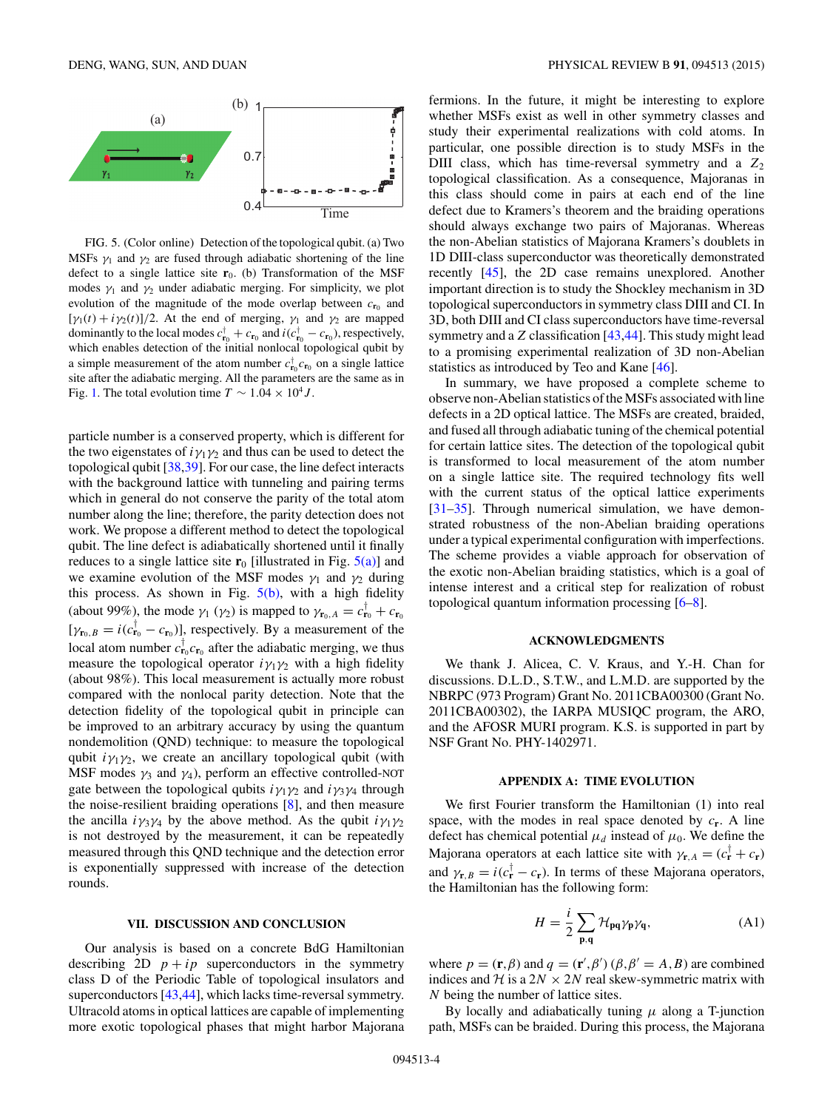

FIG. 5. (Color online) Detection of the topological qubit. (a) Two MSFs  $\gamma_1$  and  $\gamma_2$  are fused through adiabatic shortening of the line defect to a single lattice site  $r_0$ . (b) Transformation of the MSF modes  $\gamma_1$  and  $\gamma_2$  under adiabatic merging. For simplicity, we plot evolution of the magnitude of the mode overlap between  $c_{\mathbf{r}_0}$  and  $[\gamma_1(t) + i\gamma_2(t)]/2$ . At the end of merging,  $\gamma_1$  and  $\gamma_2$  are mapped dominantly to the local modes  $c_{\mathbf{r}_0}^{\dagger} + c_{\mathbf{r}_0}$  and  $i(c_{\mathbf{r}_0}^{\dagger} - c_{\mathbf{r}_0})$ , respectively, which enables detection of the initial nonlocal topological qubit by a simple measurement of the atom number  $c_{\mathbf{r}_0}^{\dagger} c_{\mathbf{r}_0}$  on a single lattice site after the adiabatic merging. All the parameters are the same as in Fig. [1.](#page-1-0) The total evolution time  $T \sim 1.04 \times 10^4 J$ .

particle number is a conserved property, which is different for the two eigenstates of  $i\gamma_1\gamma_2$  and thus can be used to detect the topological qubit [\[38,39\]](#page-5-0). For our case, the line defect interacts with the background lattice with tunneling and pairing terms which in general do not conserve the parity of the total atom number along the line; therefore, the parity detection does not work. We propose a different method to detect the topological qubit. The line defect is adiabatically shortened until it finally reduces to a single lattice site  $\mathbf{r}_0$  [illustrated in Fig.  $5(a)$ ] and we examine evolution of the MSF modes  $\gamma_1$  and  $\gamma_2$  during this process. As shown in Fig.  $5(b)$ , with a high fidelity (about 99%), the mode  $\gamma_1$  ( $\gamma_2$ ) is mapped to  $\gamma_{\mathbf{r}_0, A} = c_{\mathbf{r}_0}^{\dagger} + c_{\mathbf{r}_0}$  $[\gamma_{\mathbf{r}_0,B} = i(c_{\mathbf{r}_0}^{\dagger} - c_{\mathbf{r}_0})]$ , respectively. By a measurement of the local atom number  $c_{\mathbf{r}_0}^{\dagger} c_{\mathbf{r}_0}$  after the adiabatic merging, we thus measure the topological operator  $i\gamma_1\gamma_2$  with a high fidelity (about 98%). This local measurement is actually more robust compared with the nonlocal parity detection. Note that the detection fidelity of the topological qubit in principle can be improved to an arbitrary accuracy by using the quantum nondemolition (QND) technique: to measure the topological qubit  $i\gamma_1\gamma_2$ , we create an ancillary topological qubit (with MSF modes  $\gamma_3$  and  $\gamma_4$ ), perform an effective controlled-NOT gate between the topological qubits  $i\gamma_1\gamma_2$  and  $i\gamma_3\gamma_4$  through the noise-resilient braiding operations [\[8\]](#page-4-0), and then measure the ancilla  $i\gamma_3\gamma_4$  by the above method. As the qubit  $i\gamma_1\gamma_2$ is not destroyed by the measurement, it can be repeatedly measured through this QND technique and the detection error is exponentially suppressed with increase of the detection rounds.

#### **VII. DISCUSSION AND CONCLUSION**

Our analysis is based on a concrete BdG Hamiltonian describing 2D  $p + ip$  superconductors in the symmetry class D of the Periodic Table of topological insulators and superconductors [\[43,44\]](#page-5-0), which lacks time-reversal symmetry. Ultracold atoms in optical lattices are capable of implementing more exotic topological phases that might harbor Majorana fermions. In the future, it might be interesting to explore whether MSFs exist as well in other symmetry classes and study their experimental realizations with cold atoms. In particular, one possible direction is to study MSFs in the DIII class, which has time-reversal symmetry and a  $Z_2$ topological classification. As a consequence, Majoranas in this class should come in pairs at each end of the line defect due to Kramers's theorem and the braiding operations should always exchange two pairs of Majoranas. Whereas the non-Abelian statistics of Majorana Kramers's doublets in 1D DIII-class superconductor was theoretically demonstrated recently [\[45\]](#page-5-0), the 2D case remains unexplored. Another important direction is to study the Shockley mechanism in 3D topological superconductors in symmetry class DIII and CI. In 3D, both DIII and CI class superconductors have time-reversal symmetry and a *Z* classification [\[43,44\]](#page-5-0). This study might lead to a promising experimental realization of 3D non-Abelian statistics as introduced by Teo and Kane [\[46\]](#page-5-0).

In summary, we have proposed a complete scheme to observe non-Abelian statistics of the MSFs associated with line defects in a 2D optical lattice. The MSFs are created, braided, and fused all through adiabatic tuning of the chemical potential for certain lattice sites. The detection of the topological qubit is transformed to local measurement of the atom number on a single lattice site. The required technology fits well with the current status of the optical lattice experiments [\[31–35\]](#page-4-0). Through numerical simulation, we have demonstrated robustness of the non-Abelian braiding operations under a typical experimental configuration with imperfections. The scheme provides a viable approach for observation of the exotic non-Abelian braiding statistics, which is a goal of intense interest and a critical step for realization of robust topological quantum information processing [\[6–8\]](#page-4-0).

### **ACKNOWLEDGMENTS**

We thank J. Alicea, C. V. Kraus, and Y.-H. Chan for discussions. D.L.D., S.T.W., and L.M.D. are supported by the NBRPC (973 Program) Grant No. 2011CBA00300 (Grant No. 2011CBA00302), the IARPA MUSIQC program, the ARO, and the AFOSR MURI program. K.S. is supported in part by NSF Grant No. PHY-1402971.

#### **APPENDIX A: TIME EVOLUTION**

We first Fourier transform the Hamiltonian (1) into real space, with the modes in real space denoted by  $c_r$ . A line defect has chemical potential  $\mu_d$  instead of  $\mu_0$ . We define the Majorana operators at each lattice site with  $\gamma_{\mathbf{r},A} = (c_{\mathbf{r}}^{\dagger} + c_{\mathbf{r}})$ and  $\gamma_{\mathbf{r},B} = i(c_{\mathbf{r}}^{\dagger} - c_{\mathbf{r}})$ . In terms of these Majorana operators, the Hamiltonian has the following form:

$$
H = \frac{i}{2} \sum_{\mathbf{p}, \mathbf{q}} \mathcal{H}_{\mathbf{p}\mathbf{q}} \gamma_{\mathbf{p}} \gamma_{\mathbf{q}},
$$
 (A1)

where  $p = (\mathbf{r}, \beta)$  and  $q = (\mathbf{r}', \beta') (\beta, \beta' = A, B)$  are combined indices and  $H$  is a  $2N \times 2N$  real skew-symmetric matrix with *N* being the number of lattice sites.

By locally and adiabatically tuning *μ* along a T-junction path, MSFs can be braided. During this process, the Majorana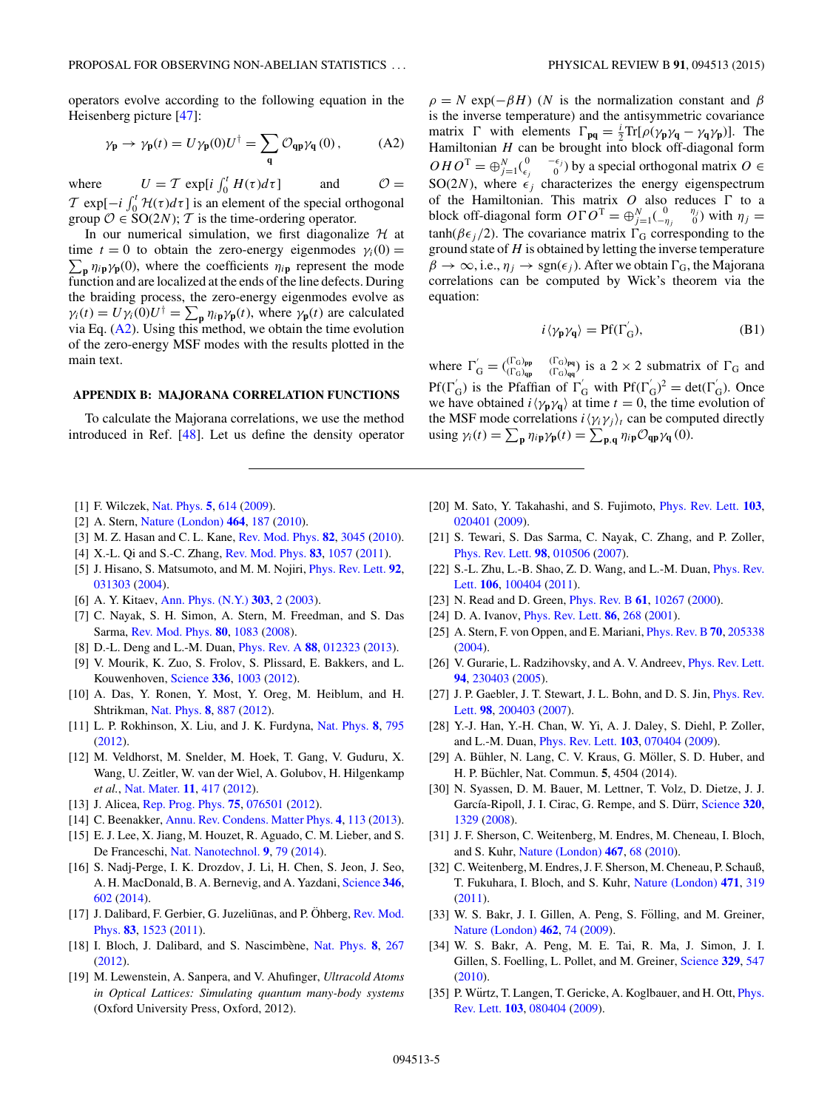<span id="page-4-0"></span>operators evolve according to the following equation in the Heisenberg picture [\[47\]](#page-5-0):

$$
\gamma_{\mathbf{p}} \to \gamma_{\mathbf{p}}(t) = U \gamma_{\mathbf{p}}(0) U^{\dagger} = \sum_{\mathbf{q}} \mathcal{O}_{\mathbf{q}\mathbf{p}} \gamma_{\mathbf{q}}(0) , \qquad (A2)
$$

where  $U = T \exp[i \int_0^t H(\tau) d\tau]$  and  $\mathcal{O} =$  $\mathcal{T}$  exp[ $-i$   $\int_0^t \mathcal{H}(\tau) d\tau$ ] is an element of the special orthogonal group  $\mathcal{O} \in SO(2N)$ ; T is the time-ordering operator.

In our numerical simulation, we first diagonalize  $H$  at time  $t = 0$  to obtain the zero-energy eigenmodes  $\gamma_i(0) =$  $\sum_{\bf p} \eta_{i\bf p} \gamma_{\bf p}(0)$ , where the coefficients  $\eta_{i\bf p}$  represent the mode function and are localized at the ends of the line defects. During the braiding process, the zero-energy eigenmodes evolve as  $\gamma_i(t) = U \gamma_i(0) U^{\dagger} = \sum_{\mathbf{p}} \eta_{i\mathbf{p}} \gamma_{\mathbf{p}}(t)$ , where  $\gamma_{\mathbf{p}}(t)$  are calculated via Eq.  $(A2)$ . Using this method, we obtain the time evolution of the zero-energy MSF modes with the results plotted in the main text.

## **APPENDIX B: MAJORANA CORRELATION FUNCTIONS**

To calculate the Majorana correlations, we use the method introduced in Ref. [\[48\]](#page-5-0). Let us define the density operator  $\rho = N \exp(-\beta H)$  (*N* is the normalization constant and  $\beta$ is the inverse temperature) and the antisymmetric covariance matrix  $\Gamma$  with elements  $\Gamma_{pq} = \frac{i}{2} \text{Tr}[\rho(\gamma_p \gamma_q - \gamma_q \gamma_p)]$ . The Hamiltonian *H* can be brought into block off-diagonal form  $OHO^{T} = \bigoplus_{j=1}^{N} \begin{pmatrix} 0 & -\epsilon_{j} \\ \epsilon_{j} & 0 \end{pmatrix}$  by a special orthogonal matrix  $O \in$ SO(2*N*), where  $\epsilon_i$  characterizes the energy eigenspectrum of the Hamiltonian. This matrix  $O$  also reduces  $\Gamma$  to a block off-diagonal form  $O\Gamma O^{T} = \bigoplus_{j=1}^{N} \begin{pmatrix} 0 & \eta_{j} \\ -\eta_{j} & 0 \end{pmatrix}$  with  $\eta_{j} =$ tanh( $\beta \epsilon_i/2$ ). The covariance matrix  $\Gamma_{\rm G}$  corresponding to the ground state of *H* is obtained by letting the inverse temperature  $\beta \to \infty$ , i.e.,  $\eta_i \to \text{sgn}(\epsilon_i)$ . After we obtain  $\Gamma_{\text{G}}$ , the Majorana correlations can be computed by Wick's theorem via the equation:

$$
i \langle \gamma_{\mathbf{p}} \gamma_{\mathbf{q}} \rangle = \text{Pf}(\Gamma_{\mathbf{G}}^{'}), \tag{B1}
$$

where  $\Gamma'_{\text{G}} = \binom{\Gamma_{\text{G}}_{\text{pp}}}{\Gamma_{\text{G}}_{\text{qp}}}$  ( $\Gamma_{\text{G}}_{\text{pq}}$ ) is a 2 × 2 submatrix of  $\Gamma_{\text{G}}$  and Pf( $\Gamma'_{\rm G}$ ) is the Pfaffian of  $\Gamma'_{\rm G}$  with Pf( $\Gamma'_{\rm G}$ )<sup>2</sup> = det( $\Gamma'_{\rm G}$ ). Once we have obtained  $i \langle \gamma_p \gamma_q \rangle$  at time  $t = 0$ , the time evolution of the MSF mode correlations  $i \langle \gamma_i \gamma_j \rangle_t$  can be computed directly using  $\gamma_i(t) = \sum_{\mathbf{p}} \eta_{i\mathbf{p}} \gamma_{\mathbf{p}}(t) = \sum_{\mathbf{p},\mathbf{q}} \eta_{i\mathbf{p}} \mathcal{O}_{\mathbf{q}\mathbf{p}} \gamma_{\mathbf{q}}(0).$ 

- [1] F. Wilczek, [Nat. Phys.](http://dx.doi.org/10.1038/nphys1380) **[5](http://dx.doi.org/10.1038/nphys1380)**, [614](http://dx.doi.org/10.1038/nphys1380) [\(2009\)](http://dx.doi.org/10.1038/nphys1380).
- [2] A. Stern, [Nature \(London\)](http://dx.doi.org/10.1038/nature08915) **[464](http://dx.doi.org/10.1038/nature08915)**, [187](http://dx.doi.org/10.1038/nature08915) [\(2010\)](http://dx.doi.org/10.1038/nature08915).
- [3] M. Z. Hasan and C. L. Kane, [Rev. Mod. Phys.](http://dx.doi.org/10.1103/RevModPhys.82.3045) **[82](http://dx.doi.org/10.1103/RevModPhys.82.3045)**, [3045](http://dx.doi.org/10.1103/RevModPhys.82.3045) [\(2010\)](http://dx.doi.org/10.1103/RevModPhys.82.3045).
- [4] X.-L. Qi and S.-C. Zhang, [Rev. Mod. Phys.](http://dx.doi.org/10.1103/RevModPhys.83.1057) **[83](http://dx.doi.org/10.1103/RevModPhys.83.1057)**, [1057](http://dx.doi.org/10.1103/RevModPhys.83.1057) [\(2011\)](http://dx.doi.org/10.1103/RevModPhys.83.1057).
- [5] J. Hisano, S. Matsumoto, and M. M. Nojiri, [Phys. Rev. Lett.](http://dx.doi.org/10.1103/PhysRevLett.92.031303) **[92](http://dx.doi.org/10.1103/PhysRevLett.92.031303)**, [031303](http://dx.doi.org/10.1103/PhysRevLett.92.031303) [\(2004\)](http://dx.doi.org/10.1103/PhysRevLett.92.031303).
- [6] A. Y. Kitaev, [Ann. Phys. \(N.Y.\)](http://dx.doi.org/10.1016/S0003-4916(02)00018-0) **[303](http://dx.doi.org/10.1016/S0003-4916(02)00018-0)**, [2](http://dx.doi.org/10.1016/S0003-4916(02)00018-0) [\(2003\)](http://dx.doi.org/10.1016/S0003-4916(02)00018-0).
- [7] C. Nayak, S. H. Simon, A. Stern, M. Freedman, and S. Das Sarma, [Rev. Mod. Phys.](http://dx.doi.org/10.1103/RevModPhys.80.1083) **[80](http://dx.doi.org/10.1103/RevModPhys.80.1083)**, [1083](http://dx.doi.org/10.1103/RevModPhys.80.1083) [\(2008\)](http://dx.doi.org/10.1103/RevModPhys.80.1083).
- [8] D.-L. Deng and L.-M. Duan, [Phys. Rev. A](http://dx.doi.org/10.1103/PhysRevA.88.012323) **[88](http://dx.doi.org/10.1103/PhysRevA.88.012323)**, [012323](http://dx.doi.org/10.1103/PhysRevA.88.012323) [\(2013\)](http://dx.doi.org/10.1103/PhysRevA.88.012323).
- [9] V. Mourik, K. Zuo, S. Frolov, S. Plissard, E. Bakkers, and L. Kouwenhoven, [Science](http://dx.doi.org/10.1126/science.1222360) **[336](http://dx.doi.org/10.1126/science.1222360)**, [1003](http://dx.doi.org/10.1126/science.1222360) [\(2012\)](http://dx.doi.org/10.1126/science.1222360).
- [10] A. Das, Y. Ronen, Y. Most, Y. Oreg, M. Heiblum, and H. Shtrikman, [Nat. Phys.](http://dx.doi.org/10.1038/nphys2479) **[8](http://dx.doi.org/10.1038/nphys2479)**, [887](http://dx.doi.org/10.1038/nphys2479) [\(2012\)](http://dx.doi.org/10.1038/nphys2479).
- [11] L. P. Rokhinson, X. Liu, and J. K. Furdyna, [Nat. Phys.](http://dx.doi.org/10.1038/nphys2429) **[8](http://dx.doi.org/10.1038/nphys2429)**, [795](http://dx.doi.org/10.1038/nphys2429) [\(2012\)](http://dx.doi.org/10.1038/nphys2429).
- [12] M. Veldhorst, M. Snelder, M. Hoek, T. Gang, V. Guduru, X. Wang, U. Zeitler, W. van der Wiel, A. Golubov, H. Hilgenkamp *et al.*, [Nat. Mater.](http://dx.doi.org/10.1038/nmat3255) **[11](http://dx.doi.org/10.1038/nmat3255)**, [417](http://dx.doi.org/10.1038/nmat3255) [\(2012\)](http://dx.doi.org/10.1038/nmat3255).
- [13] J. Alicea, [Rep. Prog. Phys.](http://dx.doi.org/10.1088/0034-4885/75/7/076501) **[75](http://dx.doi.org/10.1088/0034-4885/75/7/076501)**, [076501](http://dx.doi.org/10.1088/0034-4885/75/7/076501) [\(2012\)](http://dx.doi.org/10.1088/0034-4885/75/7/076501).
- [14] C. Beenakker, [Annu. Rev. Condens. Matter Phys.](http://dx.doi.org/10.1146/annurev-conmatphys-030212-184337) **[4](http://dx.doi.org/10.1146/annurev-conmatphys-030212-184337)**, [113](http://dx.doi.org/10.1146/annurev-conmatphys-030212-184337) [\(2013\)](http://dx.doi.org/10.1146/annurev-conmatphys-030212-184337).
- [15] E. J. Lee, X. Jiang, M. Houzet, R. Aguado, C. M. Lieber, and S. De Franceschi, [Nat. Nanotechnol.](http://dx.doi.org/10.1038/nnano.2013.267) **[9](http://dx.doi.org/10.1038/nnano.2013.267)**, [79](http://dx.doi.org/10.1038/nnano.2013.267) [\(2014\)](http://dx.doi.org/10.1038/nnano.2013.267).
- [16] S. Nadj-Perge, I. K. Drozdov, J. Li, H. Chen, S. Jeon, J. Seo, A. H. MacDonald, B. A. Bernevig, and A. Yazdani, [Science](http://dx.doi.org/10.1126/science.1259327) **[346](http://dx.doi.org/10.1126/science.1259327)**, [602](http://dx.doi.org/10.1126/science.1259327) [\(2014\)](http://dx.doi.org/10.1126/science.1259327).
- [17] J. Dalibard, F. Gerbier, G. Juzeliūnas, and P. Öhberg, Rev. Mod. Phys. **[83](http://dx.doi.org/10.1103/RevModPhys.83.1523)**, [1523](http://dx.doi.org/10.1103/RevModPhys.83.1523) [\(2011\)](http://dx.doi.org/10.1103/RevModPhys.83.1523).
- [18] I. Bloch, J. Dalibard, and S. Nascimbène, [Nat. Phys.](http://dx.doi.org/10.1038/nphys2259) [8](http://dx.doi.org/10.1038/nphys2259), [267](http://dx.doi.org/10.1038/nphys2259) [\(2012\)](http://dx.doi.org/10.1038/nphys2259).
- [19] M. Lewenstein, A. Sanpera, and V. Ahufinger, *Ultracold Atoms in Optical Lattices: Simulating quantum many-body systems* (Oxford University Press, Oxford, 2012).
- [20] M. Sato, Y. Takahashi, and S. Fujimoto, [Phys. Rev. Lett.](http://dx.doi.org/10.1103/PhysRevLett.103.020401) **[103](http://dx.doi.org/10.1103/PhysRevLett.103.020401)**, [020401](http://dx.doi.org/10.1103/PhysRevLett.103.020401) [\(2009\)](http://dx.doi.org/10.1103/PhysRevLett.103.020401).
- [21] S. Tewari, S. Das Sarma, C. Nayak, C. Zhang, and P. Zoller, [Phys. Rev. Lett.](http://dx.doi.org/10.1103/PhysRevLett.98.010506) **[98](http://dx.doi.org/10.1103/PhysRevLett.98.010506)**, [010506](http://dx.doi.org/10.1103/PhysRevLett.98.010506) [\(2007\)](http://dx.doi.org/10.1103/PhysRevLett.98.010506).
- [22] [S.-L. Zhu, L.-B. Shao, Z. D. Wang, and L.-M. Duan,](http://dx.doi.org/10.1103/PhysRevLett.106.100404) *Phys. Rev.* Lett. **[106](http://dx.doi.org/10.1103/PhysRevLett.106.100404)**, [100404](http://dx.doi.org/10.1103/PhysRevLett.106.100404) [\(2011\)](http://dx.doi.org/10.1103/PhysRevLett.106.100404).
- [23] N. Read and D. Green, [Phys. Rev. B](http://dx.doi.org/10.1103/PhysRevB.61.10267) **[61](http://dx.doi.org/10.1103/PhysRevB.61.10267)**, [10267](http://dx.doi.org/10.1103/PhysRevB.61.10267) [\(2000\)](http://dx.doi.org/10.1103/PhysRevB.61.10267).
- [24] D. A. Ivanov, [Phys. Rev. Lett.](http://dx.doi.org/10.1103/PhysRevLett.86.268) **[86](http://dx.doi.org/10.1103/PhysRevLett.86.268)**, [268](http://dx.doi.org/10.1103/PhysRevLett.86.268) [\(2001\)](http://dx.doi.org/10.1103/PhysRevLett.86.268).
- [25] A. Stern, F. von Oppen, and E. Mariani, [Phys. Rev. B](http://dx.doi.org/10.1103/PhysRevB.70.205338) **[70](http://dx.doi.org/10.1103/PhysRevB.70.205338)**, [205338](http://dx.doi.org/10.1103/PhysRevB.70.205338) [\(2004\)](http://dx.doi.org/10.1103/PhysRevB.70.205338).
- [26] V. Gurarie, L. Radzihovsky, and A. V. Andreev, *[Phys. Rev. Lett.](http://dx.doi.org/10.1103/PhysRevLett.94.230403)* **[94](http://dx.doi.org/10.1103/PhysRevLett.94.230403)**, [230403](http://dx.doi.org/10.1103/PhysRevLett.94.230403) [\(2005\)](http://dx.doi.org/10.1103/PhysRevLett.94.230403).
- [27] [J. P. Gaebler, J. T. Stewart, J. L. Bohn, and D. S. Jin,](http://dx.doi.org/10.1103/PhysRevLett.98.200403) *Phys. Rev.* Lett. **[98](http://dx.doi.org/10.1103/PhysRevLett.98.200403)**, [200403](http://dx.doi.org/10.1103/PhysRevLett.98.200403) [\(2007\)](http://dx.doi.org/10.1103/PhysRevLett.98.200403).
- [28] Y.-J. Han, Y.-H. Chan, W. Yi, A. J. Daley, S. Diehl, P. Zoller, and L.-M. Duan, [Phys. Rev. Lett.](http://dx.doi.org/10.1103/PhysRevLett.103.070404) **[103](http://dx.doi.org/10.1103/PhysRevLett.103.070404)**, [070404](http://dx.doi.org/10.1103/PhysRevLett.103.070404) [\(2009\)](http://dx.doi.org/10.1103/PhysRevLett.103.070404).
- [29] A. Bühler, N. Lang, C. V. Kraus, G. Möller, S. D. Huber, and H. P. Büchler, Nat. Commun. **5**, 4504 (2014).
- [30] N. Syassen, D. M. Bauer, M. Lettner, T. Volz, D. Dietze, J. J. García-Ripoll, J. I. Cirac, G. Rempe, and S. Dürr, [Science](http://dx.doi.org/10.1126/science.1155309) [320](http://dx.doi.org/10.1126/science.1155309), [1329](http://dx.doi.org/10.1126/science.1155309) [\(2008\)](http://dx.doi.org/10.1126/science.1155309).
- [31] J. F. Sherson, C. Weitenberg, M. Endres, M. Cheneau, I. Bloch, and S. Kuhr, [Nature \(London\)](http://dx.doi.org/10.1038/nature09378) **[467](http://dx.doi.org/10.1038/nature09378)**, [68](http://dx.doi.org/10.1038/nature09378) [\(2010\)](http://dx.doi.org/10.1038/nature09378).
- [32] C. Weitenberg, M. Endres, J. F. Sherson, M. Cheneau, P. Schauß, T. Fukuhara, I. Bloch, and S. Kuhr, [Nature \(London\)](http://dx.doi.org/10.1038/nature09827) **[471](http://dx.doi.org/10.1038/nature09827)**, [319](http://dx.doi.org/10.1038/nature09827) [\(2011\)](http://dx.doi.org/10.1038/nature09827).
- [33] W. S. Bakr, J. I. Gillen, A. Peng, S. Fölling, and M. Greiner, [Nature \(London\)](http://dx.doi.org/10.1038/nature08482) **[462](http://dx.doi.org/10.1038/nature08482)**, [74](http://dx.doi.org/10.1038/nature08482) [\(2009\)](http://dx.doi.org/10.1038/nature08482).
- [34] W. S. Bakr, A. Peng, M. E. Tai, R. Ma, J. Simon, J. I. Gillen, S. Foelling, L. Pollet, and M. Greiner, [Science](http://dx.doi.org/10.1126/science.1192368) **[329](http://dx.doi.org/10.1126/science.1192368)**, [547](http://dx.doi.org/10.1126/science.1192368) [\(2010\)](http://dx.doi.org/10.1126/science.1192368).
- [35] P. Würtz, T. Langen, T. Gericke, A. Koglbauer, and H. Ott, *Phys.* Rev. Lett. **[103](http://dx.doi.org/10.1103/PhysRevLett.103.080404)**, [080404](http://dx.doi.org/10.1103/PhysRevLett.103.080404) [\(2009\)](http://dx.doi.org/10.1103/PhysRevLett.103.080404).